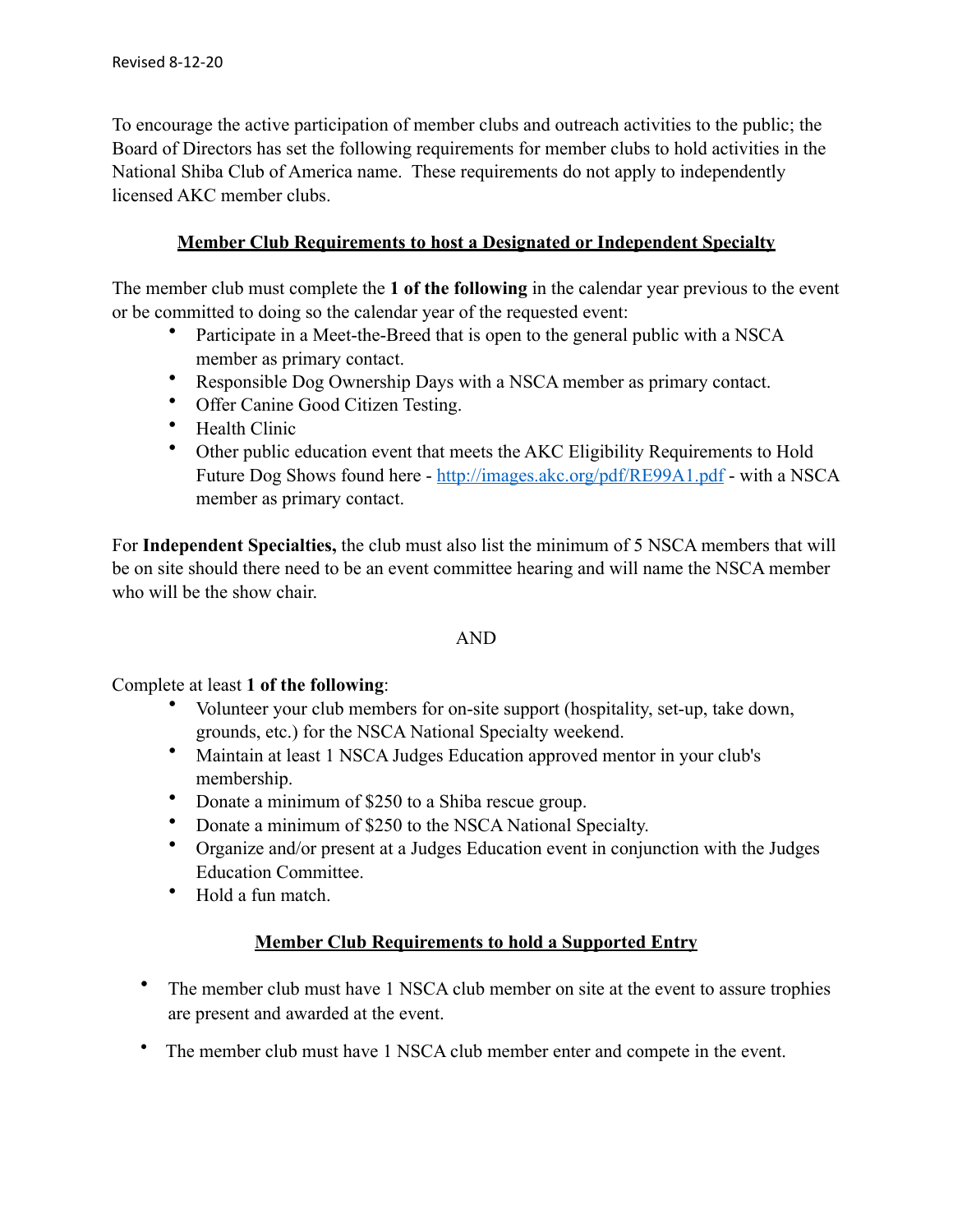To encourage the active participation of member clubs and outreach activities to the public; the Board of Directors has set the following requirements for member clubs to hold activities in the National Shiba Club of America name. These requirements do not apply to independently licensed AKC member clubs.

## **Member Club Requirements to host a Designated or Independent Specialty**

The member club must complete the **1 of the following** in the calendar year previous to the event or be committed to doing so the calendar year of the requested event:

- Participate in a Meet-the-Breed that is open to the general public with a NSCA member as primary contact.
- Responsible Dog Ownership Days with a NSCA member as primary contact.
- Offer Canine Good Citizen Testing.
- Health Clinic
- Other public education event that meets the AKC Eligibility Requirements to Hold Future Dog Shows found here - <http://images.akc.org/pdf/RE99A1.pdf> - with a NSCA member as primary contact.

For **Independent Specialties,** the club must also list the minimum of 5 NSCA members that will be on site should there need to be an event committee hearing and will name the NSCA member who will be the show chair.

## AND

## Complete at least **1 of the following**:

- Volunteer your club members for on-site support (hospitality, set-up, take down, grounds, etc.) for the NSCA National Specialty weekend.
- Maintain at least 1 NSCA Judges Education approved mentor in your club's membership.
- Donate a minimum of \$250 to a Shiba rescue group.
- Donate a minimum of \$250 to the NSCA National Specialty.
- Organize and/or present at a Judges Education event in conjunction with the Judges Education Committee.
- Hold a fun match.

## **Member Club Requirements to hold a Supported Entry**

- The member club must have 1 NSCA club member on site at the event to assure trophies are present and awarded at the event.
- The member club must have 1 NSCA club member enter and compete in the event.